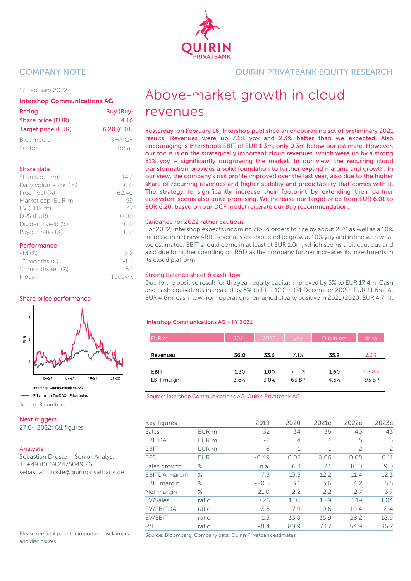#### 17 February 2022

#### Intershop Communications AG

| Rating             | Buy (Buy)  |
|--------------------|------------|
| Share price (EUR)  | 4.16       |
| Target price (EUR) | 6.20(6.01) |
| Bloomberg          | ISHA GR    |
| Sector             | Retail     |

#### Share data

| Shares out (m)       | 142    |
|----------------------|--------|
| Daily volume shs (m) | ()()   |
| Free float (%)       | 62.40  |
| Market cap (EUR m)   | 59     |
| EV (EUR m)           | 47     |
| DPS (EUR)            | (0.00) |
| Dividend yield (%)   | ()()   |
| Payout ratio (%)     |        |
|                      |        |

#### Performance

| $ytd(\%)$             | 32     |
|-----------------------|--------|
| 12 months (%)         | $-14$  |
| 12 months rel. $(\%)$ | 51     |
| Index                 | TecDAX |

#### Share price performance



Source: Bloomberg

#### **Next triggers**

27.04.2022: Q1 figures

#### Analysts

Sebastian Droste – Senior Analyst T +49 (0) 69 2475049 26 sebastian.droste@quirinprivatbank.de

Please see final page for important disclaimers and disclosures

COMPANY NOTE QUIRIN PRIVATBANK EQUITY RESEARCH

# Above-market growth in cloud revenues

Yesterday, on February 16, Intershop published an encouraging set of preliminary 2021 results. Revenues were up 7.1% yoy and 2.3% better than we expected. Also encouraging is Intershop's EBIT of EUR 1.3m, only 0.3m below our estimate. However, our focus is on the strategically important cloud revenues, which were up by a strong 51% yoy – significantly outgrowing the market. In our view, the recurring cloud transformation provides a solid foundation to further expand margins and growth. In our view, the company's risk profile improved over the last year, also due to the higher share of recurring revenues and higher stability and predictability that comes with it. The strategy to significantly increase their footprint by extending their partner ecosystem seems also quite promising. We increase our target price from EUR 6.01 to EUR 6.20, based on our DCF model reiterate our Buy recommendation.

#### Guidance for 2022 rather cautious

For 2022, Intershop expects incoming cloud orders to rise by about 20% as well as a 10% increase in net new ARR. Revenues are expected to grow at 10% yoy and in line with what we estimated. EBIT should come in at least at EUR 1.0m, which seems a bit cautious and also due to higher spending on R&D as the company further increases its investments in its cloud platform.

#### Strong balance sheet & cash flow

Due to the positive result for the year, equity capital improved by 5% to EUR 17.4m. Cash and cash equivalents increased by 5% to EUR 12.2m (31 December 2020: EUR 11.6m. At EUR 4.6m, cash flow from operations remained clearly positive in 2021 (2020: EUR 4.7m).

#### Intershop Communications AG - FY 2021

| EUR m       | 2021 | 2020 | VOV <sub>1</sub> | Quirin est. | delta    |
|-------------|------|------|------------------|-------------|----------|
|             |      |      |                  |             |          |
| Revenues    | 36.0 | 33.6 | 7.1%             | 35.2        | 2.3%     |
|             |      |      |                  |             |          |
| EBIT        | 1.30 | 1.00 | 30.0%            | 1.60        | $-18.8%$ |
| EBIT margin | 3.6% | 3.0% | 63 BP            | 4.5%        | $-93BP$  |

Source: Intershop Communications AG, Quirin Privatbank AG

| Key figures   |                  | 2019    | 2020 | 2021e          | 2022e          | 2023e |
|---------------|------------------|---------|------|----------------|----------------|-------|
| Sales         | EUR m            | 32      | 34   | 36             | 40             | 43    |
| <b>EBITDA</b> | EUR <sub>m</sub> | $-2$    | 4    | $\overline{4}$ | 5              | 5     |
| <b>EBIT</b>   | EUR <sub>m</sub> | -6      | 1    | 1              | $\overline{c}$ | 2     |
| EPS           | <b>EUR</b>       | $-0.49$ | 0.05 | 0.06           | 0.08           | 0.11  |
| Sales growth  | $\%$             | n.a.    | 6.3  | 7.1            | 10.0           | 9.0   |
| EBITDA margin | $\%$             | $-7.3$  | 13.3 | 12.2           | 11.4           | 12.3  |
| EBIT margin   | $\%$             | $-20.5$ | 3.1  | 3.6            | 4.2            | 5.5   |
| Net margin    | $\%$             | $-21.0$ | 2.2  | 2.2            | 2.7            | 3.7   |
| EV/Sales      | ratio            | 0.26    | 1.05 | 1.29           | 1.19           | 1.04  |
| EV/EBITDA     | ratio            | $-3.5$  | 7.9  | 10.6           | 10.4           | 8.4   |
| EV/EBIT       | ratio            | $-1.3$  | 33.8 | 35.9           | 28.2           | 18.9  |
| P/E           | ratio            | $-8.4$  | 80.9 | 73.7           | 54.9           | 36.7  |

Source: Bloomberg, Company data, Quirin Privatbank estimates

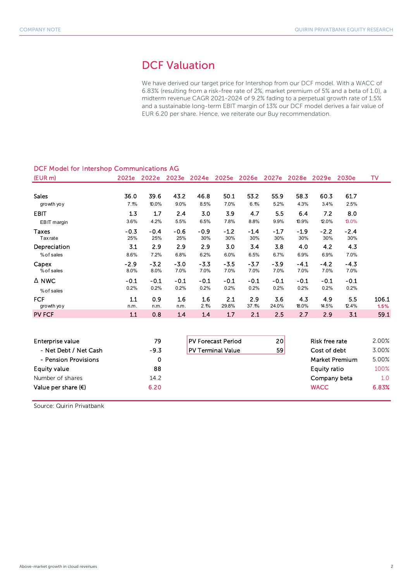# DCF Valuation

We have derived our target price for Intershop from our DCF model. With a WACC of 6.83% (resulting from a risk-free rate of 2%, market premium of 5% and a beta of 1.0), a midterm revenue CAGR 2021-2024 of 9.2% fading to a perpetual growth rate of 1.5% and a sustainable long-term EBIT margin of 13% our DCF model derives a fair value of EUR 6.20 per share. Hence, we reiterate our Buy recommendation.

| DCF MOdel for interstiop Communications AG |        |        |        |        |                           |        |        |        |                                                       |        |           |
|--------------------------------------------|--------|--------|--------|--------|---------------------------|--------|--------|--------|-------------------------------------------------------|--------|-----------|
| $EUR$ m)                                   |        |        |        |        |                           |        |        |        | 2021e 2022e 2023e 2024e 2025e 2026e 2027e 2028e 2029e | 2030e  | <b>TV</b> |
|                                            |        |        |        |        |                           |        |        |        |                                                       |        |           |
| <b>Sales</b>                               | 36.0   | 39.6   | 43.2   | 46.8   | 50.1                      | 53.2   | 55.9   | 58.3   | 60.3                                                  | 61.7   |           |
| growth yo y                                | 7.1%   | 10.0%  | 9.0%   | 8.5%   | 7.0%                      | 6.1%   | 5.2%   | 4.3%   | 3.4%                                                  | 2.5%   |           |
| <b>EBIT</b>                                | 1.3    | 1.7    | 2.4    | 3.0    | 3.9                       | 4.7    | 5.5    | 6.4    | 7.2                                                   | 8.0    |           |
| EBIT margin                                | 3.6%   | 4.2%   | 5.5%   | 6.5%   | 7.8%                      | 8.8%   | 9.9%   | 10.9%  | 12.0%                                                 | 13.0%  |           |
| <b>Taxes</b>                               | $-0.3$ | $-0.4$ | $-0.6$ | $-0.9$ | $-1.2$                    | $-1.4$ | $-1.7$ | $-1.9$ | $-2.2$                                                | $-2.4$ |           |
| <b>Tax</b> rate                            | 25%    | 25%    | 25%    | 30%    | 30%                       | 30%    | 30%    | 30%    | 30%                                                   | 30%    |           |
| Depreciation                               | 3.1    | 2.9    | 2.9    | 2.9    | 3.0                       | 3.4    | 3.8    | 4.0    | 4.2                                                   | 4.3    |           |
| % of sales                                 | 8.6%   | 7.2%   | 6.8%   | 6.2%   | 6.0%                      | 6.5%   | 6.7%   | 6.9%   | 6.9%                                                  | 7.0%   |           |
| Capex                                      | $-2.9$ | $-3.2$ | $-3.0$ | $-3.3$ | $-3.5$                    | $-3.7$ | $-3.9$ | $-4.1$ | $-4.2$                                                | $-4.3$ |           |
| % of sales                                 | 8.0%   | 8.0%   | 7.0%   | 7.0%   | 7.0%                      | 7.0%   | 7.0%   | 7.0%   | 7.0%                                                  | 7.0%   |           |
| $\Delta$ NWC                               | $-0.1$ | $-0.1$ | $-0.1$ | $-0.1$ | $-0.1$                    | $-0.1$ | $-0.1$ | $-0.1$ | $-0.1$                                                | $-0.1$ |           |
| % of sales                                 | 0.2%   | 0.2%   | 0.2%   | 0.2%   | 0.2%                      | 0.2%   | 0.2%   | 0.2%   | 0.2%                                                  | 0.2%   |           |
| <b>FCF</b>                                 | 1.1    | 0.9    | 1.6    | 1.6    | 2.1                       | 2.9    | 3.6    | 4.3    | 4.9                                                   | 5.5    | 106.1     |
| growth yo y                                | n.m.   | n.m.   | n.m.   | 2.1%   | 29.8%                     | 37.1%  | 24.0%  | 18.0%  | 14.5%                                                 | 12.4%  | 1.5%      |
| <b>PV FCF</b>                              | 1.1    | 0.8    | 1.4    | 1.4    | 1.7                       | 2.1    | 2.5    | 2.7    | 2.9                                                   | 3.1    | 59.1      |
|                                            |        |        |        |        |                           |        |        |        |                                                       |        |           |
| Enterprise value                           |        | 79     |        |        | <b>PV Forecast Period</b> |        | 20     |        | <b>Risk free rate</b>                                 |        | 2.00%     |
| - Net Debt / Net Cash                      |        | $-9.3$ |        |        | <b>PV Terminal Value</b>  |        | 59     |        | Cost of debt                                          |        | 3.00%     |
| - Pension Provisions                       |        | 0      |        |        |                           |        |        |        | <b>Market Premium</b>                                 |        | 5.00%     |
|                                            |        |        |        |        |                           |        |        |        |                                                       |        |           |
| <b>Equity value</b>                        |        | 88     |        |        |                           |        |        |        | <b>Equity ratio</b>                                   |        | 100%      |
| Number of shares                           |        | 14.2   |        |        |                           |        |        |        | Company beta                                          |        | 1.0       |
| Value per share $(\epsilon)$               |        | 6.20   |        |        |                           |        |        |        | <b>WACC</b>                                           |        | 6.83%     |

### DCF Model for Intershop Communications AG

Source: Quirin Privatbank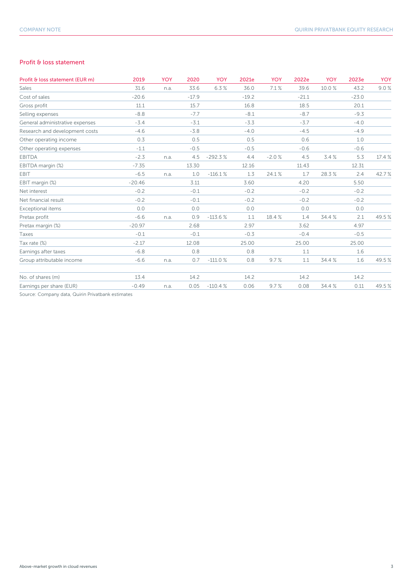#### Profit & loss statement

| Profit & loss statement (EUR m)                   | 2019     | <b>YOY</b> | 2020    | YOY       | 2021e   | <b>YOY</b> | 2022e   | <b>YOY</b> | 2023e   | <b>YOY</b> |
|---------------------------------------------------|----------|------------|---------|-----------|---------|------------|---------|------------|---------|------------|
| Sales                                             | 31.6     | n.a.       | 33.6    | 6.3%      | 36.0    | 7.1%       | 39.6    | 10.0%      | 43.2    | 9.0%       |
| Cost of sales                                     | $-20.6$  |            | $-17.9$ |           | $-19.2$ |            | $-21.1$ |            | $-23.0$ |            |
| Gross profit                                      | 11.1     |            | 15.7    |           | 16.8    |            | 18.5    |            | 20.1    |            |
| Selling expenses                                  | $-8.8$   |            | $-7.7$  |           | $-8.1$  |            | $-8.7$  |            | $-9.3$  |            |
| General administrative expenses                   | $-3.4$   |            | $-3.1$  |           | $-3.3$  |            | $-3.7$  |            | $-4.0$  |            |
| Research and development costs                    | $-4.6$   |            | $-3.8$  |           | $-4.0$  |            | $-4.5$  |            | $-4.9$  |            |
| Other operating income                            | 0.3      |            | 0.5     |           | 0.5     |            | 0.6     |            | 1.0     |            |
| Other operating expenses                          | $-1.1$   |            | $-0.5$  |           | $-0.5$  |            | $-0.6$  |            | $-0.6$  |            |
| <b>EBITDA</b>                                     | $-2.3$   | n.a.       | 4.5     | $-292.3%$ | 4.4     | $-2.0%$    | 4.5     | 3.4%       | 5.3     | 17.4 %     |
| EBITDA margin (%)                                 | $-7.35$  |            | 13.30   |           | 12.16   |            | 11.43   |            | 12.31   |            |
| EBIT                                              | $-6.5$   | n.a.       | 1.0     | $-116.1%$ | 1.3     | 24.1%      | 1.7     | 28.3%      | 2.4     | 42.7%      |
| EBIT margin (%)                                   | $-20.46$ |            | 3.11    |           | 3.60    |            | 4.20    |            | 5.50    |            |
| Net interest                                      | $-0.2$   |            | $-0.1$  |           | $-0.2$  |            | $-0.2$  |            | $-0.2$  |            |
| Net financial result                              | $-0.2$   |            | $-0.1$  |           | $-0.2$  |            | $-0.2$  |            | $-0.2$  |            |
| Exceptional items                                 | 0.0      |            | 0.0     |           | 0.0     |            | 0.0     |            | 0.0     |            |
| Pretax profit                                     | $-6.6$   | n.a.       | 0.9     | $-113.6%$ | 1.1     | 18.4%      | 1.4     | 34.4 %     | 2.1     | 49.5%      |
| Pretax margin (%)                                 | $-20.97$ |            | 2.68    |           | 2.97    |            | 3.62    |            | 4.97    |            |
| Taxes                                             | $-0.1$   |            | $-0.1$  |           | $-0.3$  |            | $-0.4$  |            | $-0.5$  |            |
| Tax rate (%)                                      | $-2.17$  |            | 12.08   |           | 25.00   |            | 25.00   |            | 25.00   |            |
| Earnings after taxes                              | $-6.8$   |            | 0.8     |           | 0.8     |            | 1.1     |            | 1.6     |            |
| Group attributable income                         | $-6.6$   | n.a.       | 0.7     | $-111.0%$ | 0.8     | 9.7%       | 1.1     | 34.4 %     | 1.6     | 49.5%      |
| No. of shares (m)                                 | 13.4     |            | 14.2    |           | 14.2    |            | 14.2    |            | 14.2    |            |
| Earnings per share (EUR)                          | $-0.49$  | n.a.       | 0.05    | $-110.4%$ | 0.06    | 9.7%       | 0.08    | 34.4 %     | 0.11    | 49.5%      |
| Source: Company data, Quirin Privatbank estimates |          |            |         |           |         |            |         |            |         |            |

npany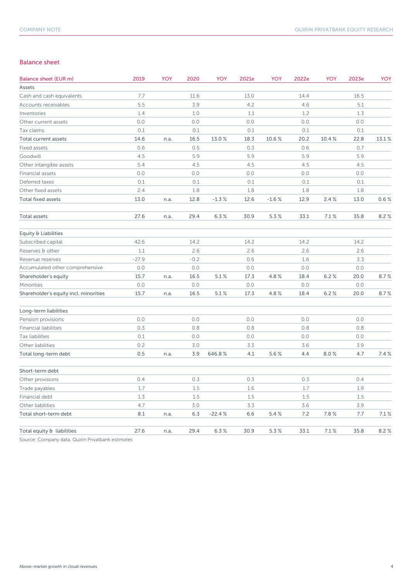#### Balance sheet

| Balance sheet (EUR m)                 | 2019    | YOY  | 2020   | YOY       | 2021e | YOY     | 2022e | YOY   | 2023e | YOY   |
|---------------------------------------|---------|------|--------|-----------|-------|---------|-------|-------|-------|-------|
| Assets                                |         |      |        |           |       |         |       |       |       |       |
| Cash and cash equivalents             | 7.7     |      | 11.6   |           | 13.0  |         | 14.4  |       | 16.5  |       |
| Accounts receivables                  | 5.5     |      | 3.9    |           | 4.2   |         | 4.6   |       | 5.1   |       |
| Inventories                           | 1.4     |      | 1.0    |           | 1.1   |         | 1.2   |       | 1.3   |       |
| Other current assets                  | 0.0     |      | 0.0    |           | 0.0   |         | 0.0   |       | 0.0   |       |
| Tax claims                            | 0.1     |      | 0.1    |           | 0.1   |         | 0.1   |       | 0.1   |       |
| Total current assets                  | 14.6    | n.a. | 16.5   | 13.0%     | 18.3  | 10.6%   | 20.2  | 10.4% | 22.8  | 13.1% |
| Fixed assets                          | 0.6     |      | 0.5    |           | 0.3   |         | 0.6   |       | 0.7   |       |
| Goodwill                              | 4.5     |      | 5.9    |           | 5.9   |         | 5.9   |       | 5.9   |       |
| Other intangible assets               | 5.4     |      | 4.5    |           | 4.5   |         | 4.5   |       | 4.5   |       |
| Financial assets                      | 0.0     |      | 0.0    |           | 0.0   |         | 0.0   |       | 0.0   |       |
| Deferred taxes                        | 0.1     |      | 0.1    |           | 0.1   |         | 0.1   |       | 0.1   |       |
| Other fixed assets                    | 2.4     |      | 1.8    |           | 1.8   |         | 1.8   |       | 1.8   |       |
| <b>Total fixed assets</b>             | 13.0    | n.a. | 12.8   | $-1.3%$   | 12.6  | $-1.6%$ | 12.9  | 2.4%  | 13.0  | 0.6%  |
| Total assets                          | 27.6    | n.a. | 29.4   | 6.3%      | 30.9  | 5.3%    | 33.1  | 7.1%  | 35.8  | 8.2%  |
| Equity & Liabilities                  |         |      |        |           |       |         |       |       |       |       |
| Subscribed capital                    | 42.6    |      | 14.2   |           | 14.2  |         | 14.2  |       | 14.2  |       |
| Reserves & other                      | 1.1     |      | 2.6    |           | 2.6   |         | 2.6   |       | 2.6   |       |
| Revenue reserves                      | $-27.9$ |      | $-0.2$ |           | 0.6   |         | 1.6   |       | 3.3   |       |
| Accumulated other comprehensive       | 0.0     |      | 0.0    |           | 0.0   |         | 0.0   |       | 0.0   |       |
| Shareholder's equity                  | 15.7    | n.a. | 16.5   | $5.1\,\%$ | 17.3  | 4.8%    | 18.4  | 6.2%  | 20.0  | 8.7%  |
| Minorities                            | $0.0\,$ |      | 0.0    |           | $0.0$ |         | 0.0   |       | 0.0   |       |
| Shareholder's equity incl. minorities | 15.7    | n.a. | 16.5   | 5.1%      | 17.3  | 4.8%    | 18.4  | 6.2%  | 20.0  | 8.7%  |
| Long-term liabilities                 |         |      |        |           |       |         |       |       |       |       |
| Pension provisions                    | 0.0     |      | 0.0    |           | 0.0   |         | 0.0   |       | 0.0   |       |
| <b>Financial liabilities</b>          | 0.3     |      | 0.8    |           | 0.8   |         | 0.8   |       | 0.8   |       |
| Tax liabilities                       | 0.1     |      | 0.0    |           | 0.0   |         | 0.0   |       | 0.0   |       |
| Other liabilities                     | 0.2     |      | 3.0    |           | 3.3   |         | 3.6   |       | 3.9   |       |
| Total long-term debt                  | 0.5     | n.a. | 3.9    | 646.8%    | 4.1   | 5.6%    | 4.4   | 8.0%  | 4.7   | 7.4%  |
| Short-term debt                       |         |      |        |           |       |         |       |       |       |       |
| Other provisions                      | 0.4     |      | 0.3    |           | 0.3   |         | 0.3   |       | 0.4   |       |
| Trade payables                        | 1.7     |      | 1.5    |           | 1.6   |         | 1.7   |       | 1.9   |       |
| Financial debt                        | 1.3     |      | 1.5    |           | 1.5   |         | 1.5   |       | 1.5   |       |
| Other liabilities                     | 4.7     |      | 3.0    |           | 3.3   |         | 3.6   |       | 3.9   |       |
| Total short-term debt                 | 8.1     | n.a. | 6.3    | $-22.4%$  | 6.6   | 5.4%    | 7.2   | 7.8%  | 7.7   | 7.1%  |
| Total equity & liabilities            | 27.6    | n.a. | 29.4   | 6.3%      | 30.9  | 5.3%    | 33.1  | 7.1%  | 35.8  | 8.2%  |

Source: Company data, Quirin Privatbank estimates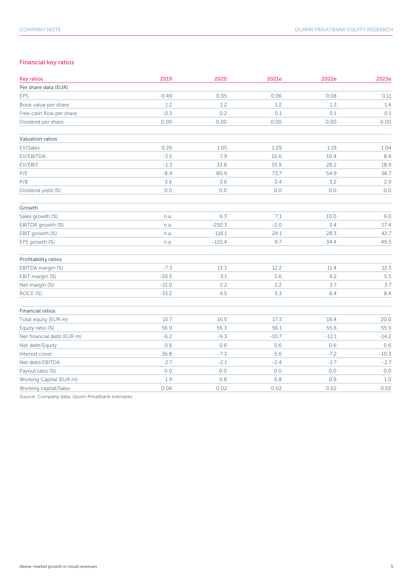### Financial key ratios

| <b>Key ratios</b>          | 2019    | 2020     | 2021e   | 2022e   | 2023e   |
|----------------------------|---------|----------|---------|---------|---------|
| Per share data (EUR)       |         |          |         |         |         |
| <b>EPS</b>                 | $-0.49$ | 0.05     | 0.06    | 0.08    | 0.11    |
| Book value per share       | 1.2     | 1.2      | 1.2     | 1.3     | 1.4     |
| Free cash flow per share   | $-0.3$  | 0.2      | 0.1     | 0.1     | 0.1     |
| Dividend per share         | 0.00    | 0.00     | 0.00    | 0.00    | 0.00    |
| Valuation ratios           |         |          |         |         |         |
| EV/Sales                   | 0.26    | 1.05     | 1.29    | 1.19    | 1.04    |
| EV/EBITDA                  | $-3.5$  | 7.9      | 10.6    | 10.4    | 8.4     |
| EV/EBIT                    | $-1.3$  | 33.8     | 35.9    | 28.2    | 18.9    |
| $\mathsf{P}/\mathsf{E}$    | $-8.4$  | 80.9     | 73.7    | 54.9    | 36.7    |
| P/B                        | 3.6     | 3.6      | 3.4     | 3.2     | 2.9     |
| Dividend yield (%)         | 0.0     | 0.0      | 0.0     | 0.0     | 0.0     |
| Growth                     |         |          |         |         |         |
| Sales growth (%)           | n.a.    | 6.3      | $7.1$   | 10.0    | 9.0     |
| EBITDA growth (%)          | n.a.    | $-292.3$ | $-2.0$  | 3.4     | 17.4    |
| EBIT growth (%)            | n.a.    | $-116.1$ | 24.1    | 28.3    | 42.7    |
| EPS growth (%)             | n.a.    | $-110.4$ | 9.7     | 34.4    | 49.5    |
| Profitability ratios       |         |          |         |         |         |
| EBITDA margin (%)          | $-7.3$  | 13.3     | 12.2    | 11.4    | 12.3    |
| EBIT margin (%)            | $-20.5$ | $3.1$    | 3.6     | 4.2     | 5.5     |
| Net margin (%)             | $-21.0$ | 2.2      | 2.2     | 2.7     | 3.7     |
| ROCE (%)                   | $-33.2$ | 4.5      | 5.3     | 6.4     | 8.4     |
| <b>Financial ratios</b>    |         |          |         |         |         |
| Total equity (EUR m)       | 15.7    | 16.5     | 17.3    | 18.4    | 20.0    |
| Equity ratio (%)           | 56.9    | 56.3     | 56.1    | 55.6    | 55.9    |
| Net financial debt (EUR m) | $-6.2$  | $-9.3$   | $-10.7$ | $-12.1$ | $-14.2$ |
| Net debt/Equity            | 0.6     | 0.6      | 0.6     | 0.6     | 0.6     |
| Interest cover             | 36.8    | $-7.3$   | $-5.6$  | $-7.2$  | $-10.3$ |
| Net debt/EBITDA            | 2.7     | $-2.1$   | $-2.4$  | $-2.7$  | $-2.7$  |
| Payout ratio (%)           | $0.0$   | $0.0$    | $0.0$   | $0.0\,$ | 0.0     |
| Working Capital (EUR m)    | 1.9     | 0.8      | $0.8$   | 0.9     | $1.0$   |
| Working capital/Sales      | 0.06    | 0.02     | 0.02    | 0.02    | 0.02    |

Source: Company data, Quirin Privatbank estimates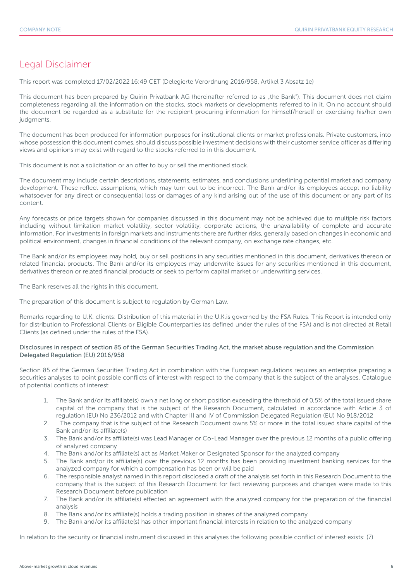## Legal Disclaimer

This report was completed 17/02/2022 16:49 CET (Delegierte Verordnung 2016/958, Artikel 3 Absatz 1e)

This document has been prepared by Quirin Privatbank AG (hereinafter referred to as "the Bank"). This document does not claim completeness regarding all the information on the stocks, stock markets or developments referred to in it. On no account should the document be regarded as a substitute for the recipient procuring information for himself/herself or exercising his/her own judgments.

The document has been produced for information purposes for institutional clients or market professionals. Private customers, into whose possession this document comes, should discuss possible investment decisions with their customer service officer as differing views and opinions may exist with regard to the stocks referred to in this document.

This document is not a solicitation or an offer to buy or sell the mentioned stock.

The document may include certain descriptions, statements, estimates, and conclusions underlining potential market and company development. These reflect assumptions, which may turn out to be incorrect. The Bank and/or its employees accept no liability whatsoever for any direct or consequential loss or damages of any kind arising out of the use of this document or any part of its content.

Any forecasts or price targets shown for companies discussed in this document may not be achieved due to multiple risk factors including without limitation market volatility, sector volatility, corporate actions, the unavailability of complete and accurate information. For investments in foreign markets and instruments there are further risks, generally based on changes in economic and political environment, changes in financial conditions of the relevant company, on exchange rate changes, etc.

The Bank and/or its employees may hold, buy or sell positions in any securities mentioned in this document, derivatives thereon or related financial products. The Bank and/or its employees may underwrite issues for any securities mentioned in this document, derivatives thereon or related financial products or seek to perform capital market or underwriting services.

The Bank reserves all the rights in this document.

The preparation of this document is subject to regulation by German Law.

Remarks regarding to U.K. clients: Distribution of this material in the U.K.is governed by the FSA Rules. This Report is intended only for distribution to Professional Clients or Eligible Counterparties (as defined under the rules of the FSA) and is not directed at Retail Clients (as defined under the rules of the FSA).

#### Disclosures in respect of section 85 of the German Securities Trading Act, the market abuse regulation and the Commission Delegated Regulation (EU) 2016/958

Section 85 of the German Securities Trading Act in combination with the European regulations requires an enterprise preparing a securities analyses to point possible conflicts of interest with respect to the company that is the subject of the analyses. Catalogue of potential conflicts of interest:

- 1. The Bank and/or its affiliate(s) own a net long or short position exceeding the threshold of 0,5% of the total issued share capital of the company that is the subject of the Research Document, calculated in accordance with Article 3 of regulation (EU) No 236/2012 and with Chapter III and IV of Commission Delegated Regulation (EU) No 918/2012
- 2. The company that is the subject of the Research Document owns 5% or more in the total issued share capital of the Bank and/or its affiliate(s)
- 3. The Bank and/or its affiliate(s) was Lead Manager or Co-Lead Manager over the previous 12 months of a public offering of analyzed company
- 4. The Bank and/or its affiliate(s) act as Market Maker or Designated Sponsor for the analyzed company
- 5. The Bank and/or its affiliate(s) over the previous 12 months has been providing investment banking services for the analyzed company for which a compensation has been or will be paid
- 6. The responsible analyst named in this report disclosed a draft of the analysis set forth in this Research Document to the company that is the subject of this Research Document for fact reviewing purposes and changes were made to this Research Document before publication
- 7. The Bank and/or its affiliate(s) effected an agreement with the analyzed company for the preparation of the financial analysis
- 8. The Bank and/or its affiliate(s) holds a trading position in shares of the analyzed company
- 9. The Bank and/or its affiliate(s) has other important financial interests in relation to the analyzed company

In relation to the security or financial instrument discussed in this analyses the following possible conflict of interest exists: (7)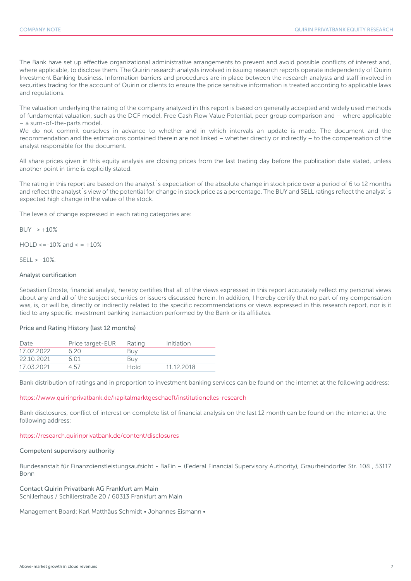The Bank have set up effective organizational administrative arrangements to prevent and avoid possible conflicts of interest and, where applicable, to disclose them. The Quirin research analysts involved in issuing research reports operate independently of Quirin Investment Banking business. Information barriers and procedures are in place between the research analysts and staff involved in securities trading for the account of Quirin or clients to ensure the price sensitive information is treated according to applicable laws and regulations.

The valuation underlying the rating of the company analyzed in this report is based on generally accepted and widely used methods of fundamental valuation, such as the DCF model, Free Cash Flow Value Potential, peer group comparison and – where applicable – a sum-of-the-parts model.

We do not commit ourselves in advance to whether and in which intervals an update is made. The document and the recommendation and the estimations contained therein are not linked – whether directly or indirectly – to the compensation of the analyst responsible for the document.

All share prices given in this equity analysis are closing prices from the last trading day before the publication date stated, unless another point in time is explicitly stated.

The rating in this report are based on the analyst´s expectation of the absolute change in stock price over a period of 6 to 12 months and reflect the analyst<sup>'</sup>s view of the potential for change in stock price as a percentage. The BUY and SELL ratings reflect the analyst's expected high change in the value of the stock.

The levels of change expressed in each rating categories are:

 $BUY > +10%$ 

 $HOLD \le -10\%$  and  $\le +10\%$ 

 $SFII > -10%$ 

#### Analyst certification

Sebastian Droste, financial analyst, hereby certifies that all of the views expressed in this report accurately reflect my personal views about any and all of the subject securities or issuers discussed herein. In addition, I hereby certify that no part of my compensation was, is, or will be, directly or indirectly related to the specific recommendations or views expressed in this research report, nor is it tied to any specific investment banking transaction performed by the Bank or its affiliates.

#### Price and Rating History (last 12 months)

| Date       | Price target-EUR | Rating | Initiation |
|------------|------------------|--------|------------|
| 17 02 2022 | 620              | Buv    |            |
| 22.10.2021 | 6 N 1            | Buv    |            |
| 17.03.2021 | 457              | Hold   | 11 12 2018 |

Bank distribution of ratings and in proportion to investment banking services can be found on the internet at the following address:

#### https://www.quirinprivatbank.de/kapitalmarktgeschaeft/institutionelles-research

Bank disclosures, conflict of interest on complete list of financial analysis on the last 12 month can be found on the internet at the following address:

#### https://research.quirinprivatbank.de/content/disclosures

#### Competent supervisory authority

Bundesanstalt für Finanzdienstleistungsaufsicht - BaFin – (Federal Financial Supervisory Authority), Graurheindorfer Str. 108 , 53117 Bonn

#### Contact Quirin Privatbank AG Frankfurt am Main

Schillerhaus / Schillerstraße 20 / 60313 Frankfurt am Main

Management Board: Karl Matthäus Schmidt • Johannes Eismann •